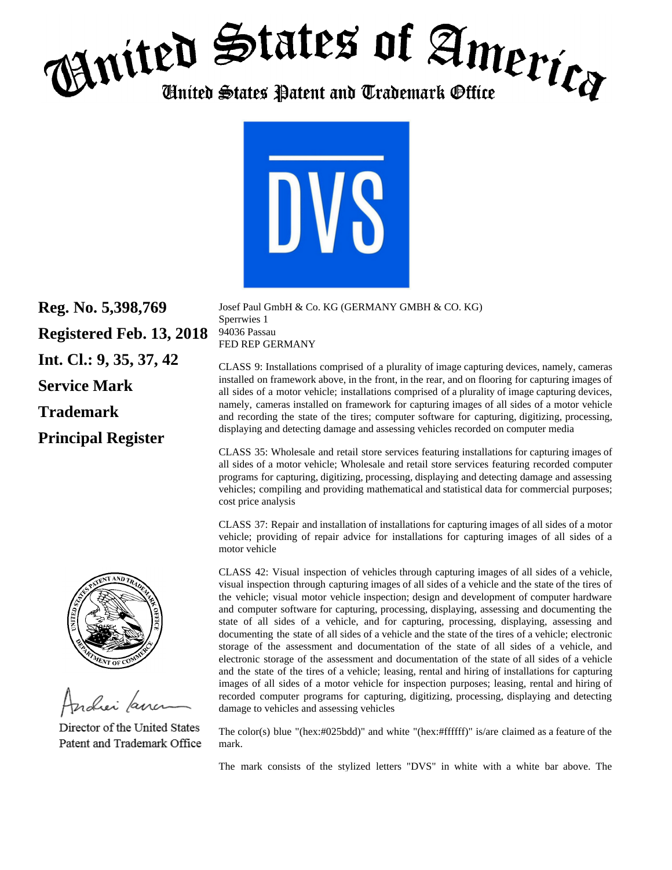## $_{\text{H}}$ nited States of America *United States Patent and Trademark Office*



**Reg. No. 5,398,769 Registered Feb. 13, 2018 Int. Cl.: 9, 35, 37, 42 Service Mark Trademark Principal Register** 



Andrei *far* 

Director of the United States Patent and Trademark Office

Josef Paul GmbH & Co. KG (GERMANY GMBH & CO. KG) Sperrwies 1 94036 Passau FED REP GERMANY

CLASS 9: Installations comprised of a plurality of image capturing devices, namely, cameras installed on framework above, in the front, in the rear, and on flooring for capturing images of all sides of a motor vehicle; installations comprised of a plurality of image capturing devices, namely, cameras installed on framework for capturing images of all sides of a motor vehicle and recording the state of the tires; computer software for capturing, digitizing, processing, displaying and detecting damage and assessing vehicles recorded on computer media

CLASS 35: Wholesale and retail store services featuring installations for capturing images of all sides of a motor vehicle; Wholesale and retail store services featuring recorded computer programs for capturing, digitizing, processing, displaying and detecting damage and assessing vehicles; compiling and providing mathematical and statistical data for commercial purposes; cost price analysis

CLASS 37: Repair and installation of installations for capturing images of all sides of a motor vehicle; providing of repair advice for installations for capturing images of all sides of a motor vehicle

CLASS 42: Visual inspection of vehicles through capturing images of all sides of a vehicle, visual inspection through capturing images of all sides of a vehicle and the state of the tires of the vehicle; visual motor vehicle inspection; design and development of computer hardware and computer software for capturing, processing, displaying, assessing and documenting the state of all sides of a vehicle, and for capturing, processing, displaying, assessing and documenting the state of all sides of a vehicle and the state of the tires of a vehicle; electronic storage of the assessment and documentation of the state of all sides of a vehicle, and electronic storage of the assessment and documentation of the state of all sides of a vehicle and the state of the tires of a vehicle; leasing, rental and hiring of installations for capturing images of all sides of a motor vehicle for inspection purposes; leasing, rental and hiring of recorded computer programs for capturing, digitizing, processing, displaying and detecting damage to vehicles and assessing vehicles

The color(s) blue "(hex:#025bdd)" and white "(hex:#ffffff)" is/are claimed as a feature of the mark.

The mark consists of the stylized letters "DVS" in white with a white bar above. The